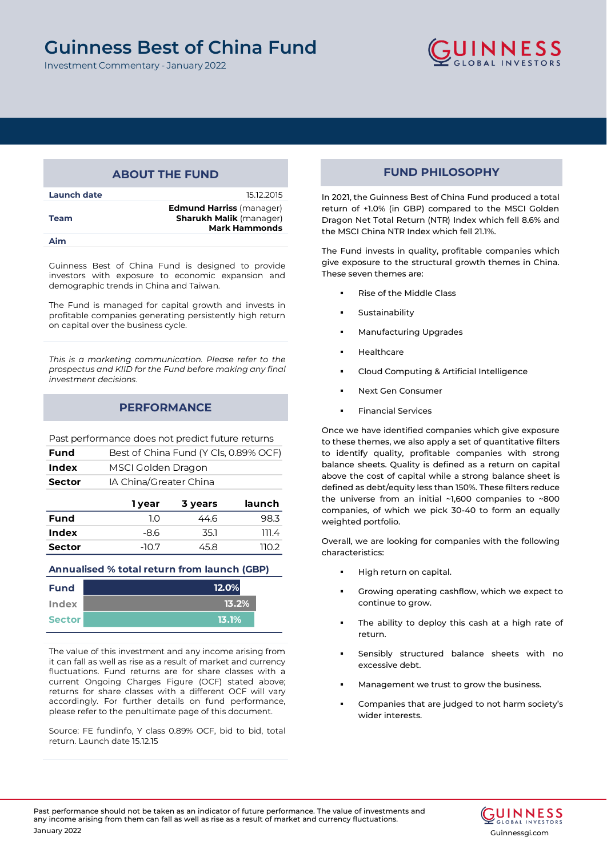### **Guinness Best of China Fund Guinness Best of China Fund**

Investment Commentary - January 2022



## **ABOUT THE FUND**

| Launch date | 15.12.2015                                                                                |
|-------------|-------------------------------------------------------------------------------------------|
| <b>Team</b> | <b>Edmund Harriss</b> (manager)<br><b>Sharukh Malik (manager)</b><br><b>Mark Hammonds</b> |
| Aim         |                                                                                           |

Guinness Best of China Fund is designed to provide investors with exposure to economic expansion and demographic trends in China and Taiwan.

The Fund is managed for capital growth and invests in profitable companies generating persistently high return on capital over the business cycle.

*This is a marketing communication. Please refer to the prospectus and KIID for the Fund before making any final investment decisions*.

## **PERFORMANCE**

Past performance does not predict future returns

| Fund          | Best of China Fund (Y Cls, 0.89% OCF) |
|---------------|---------------------------------------|
| Index         | MSCI Golden Dragon                    |
| <b>Sector</b> | IA China/Greater China                |
|               |                                       |

|               | 1 year | 3 years | launch |
|---------------|--------|---------|--------|
| <b>Fund</b>   | ח ו    | 44.6    | 98.3   |
| Index         | -8.6   | 35.1    | 111.4  |
| <b>Sector</b> | $-107$ | 45.8    | ר חוו  |

### **Annualised % total return from launch (GBP)**

| Index<br>13.2%         | <b>Fund</b> | 12.0% |
|------------------------|-------------|-------|
|                        |             |       |
| <b>Sector</b><br>13.1% |             |       |

The value of this investment and any income arising from it can fall as well as rise as a result of market and currency fluctuations. Fund returns are for share classes with a current Ongoing Charges Figure (OCF) stated above; returns for share classes with a different OCF will vary accordingly. For further details on fund performance, please refer to the penultimate page of this document.

Source: FE fundinfo, Y class 0.89% OCF, bid to bid, total return. Launch date 15.12.15

## **FUND PHILOSOPHY**

In 2021, the Guinness Best of China Fund produced a total return of +1.0% (in GBP) compared to the MSCI Golden Dragon Net Total Return (NTR) Index which fell 8.6% and the MSCI China NTR Index which fell 21.1%.

The Fund invests in quality, profitable companies which give exposure to the structural growth themes in China. These seven themes are:

- Rise of the Middle Class
- Sustainability
- **Manufacturing Upgrades**
- **Healthcare**
- Cloud Computing & Artificial Intelligence
- Next Gen Consumer
- Financial Services

Once we have identified companies which give exposure to these themes, we also apply a set of quantitative filters to identify quality, profitable companies with strong balance sheets. Quality is defined as a return on capital above the cost of capital while a strong balance sheet is defined as debt/equity less than 150%. These filters reduce the universe from an initial ~1,600 companies to ~800 companies, of which we pick 30-40 to form an equally weighted portfolio.

Overall, we are looking for companies with the following characteristics:

- High return on capital.
- Growing operating cashflow, which we expect to continue to grow.
- The ability to deploy this cash at a high rate of return.
- Sensibly structured balance sheets with no excessive debt.
- Management we trust to grow the business.
- Companies that are judged to not harm society's wider interests.

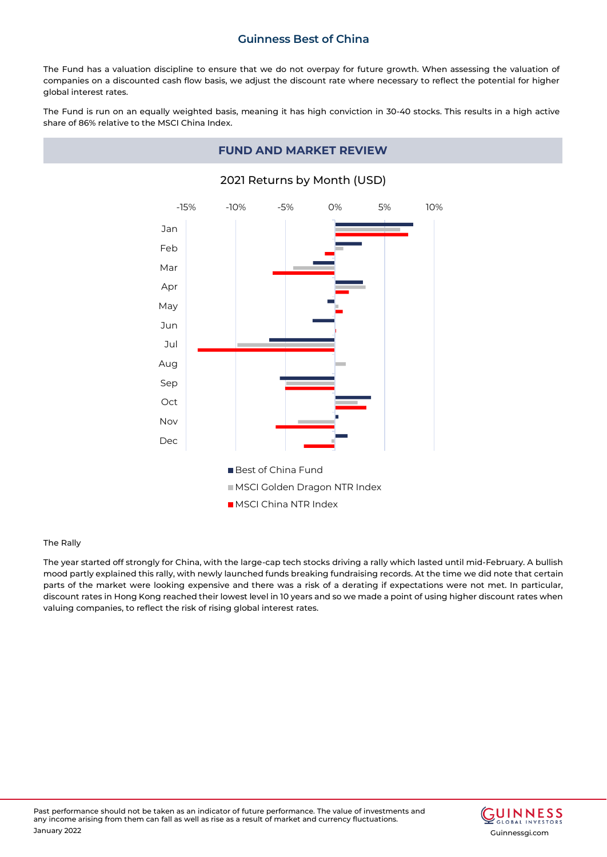The Fund has a valuation discipline to ensure that we do not overpay for future growth. When assessing the valuation of companies on a discounted cash flow basis, we adjust the discount rate where necessary to reflect the potential for higher global interest rates.

The Fund is run on an equally weighted basis, meaning it has high conviction in 30-40 stocks. This results in a high active share of 86% relative to the MSCI China Index.

## **FUND AND MARKET REVIEW**



## 2021 Returns by Month (USD)

### The Rally

The year started off strongly for China, with the large-cap tech stocks driving a rally which lasted until mid-February. A bullish mood partly explained this rally, with newly launched funds breaking fundraising records. At the time we did note that certain parts of the market were looking expensive and there was a risk of a derating if expectations were not met. In particular, discount rates in Hong Kong reached their lowest level in 10 years and so we made a point of using higher discount rates when valuing companies, to reflect the risk of rising global interest rates.

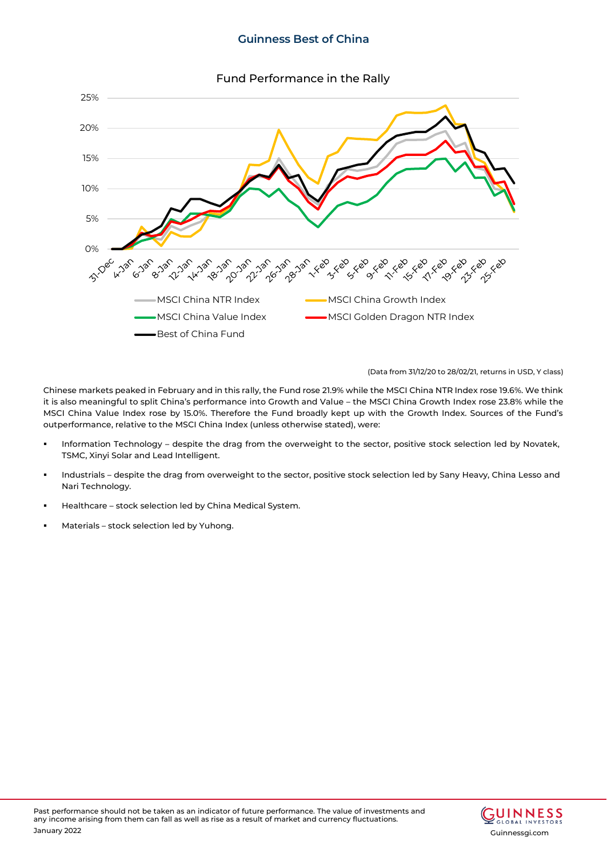

(Data from 31/12/20 to 28/02/21, returns in USD, Y class)

Chinese markets peaked in February and in this rally, the Fund rose 21.9% while the MSCI China NTR Index rose 19.6%. We think it is also meaningful to split China's performance into Growth and Value – the MSCI China Growth Index rose 23.8% while the MSCI China Value Index rose by 15.0%. Therefore the Fund broadly kept up with the Growth Index. Sources of the Fund's outperformance, relative to the MSCI China Index (unless otherwise stated), were:

- Information Technology despite the drag from the overweight to the sector, positive stock selection led by Novatek, TSMC, Xinyi Solar and Lead Intelligent.
- Industrials despite the drag from overweight to the sector, positive stock selection led by Sany Heavy, China Lesso and Nari Technology.
- Healthcare stock selection led by China Medical System.
- Materials stock selection led by Yuhong.

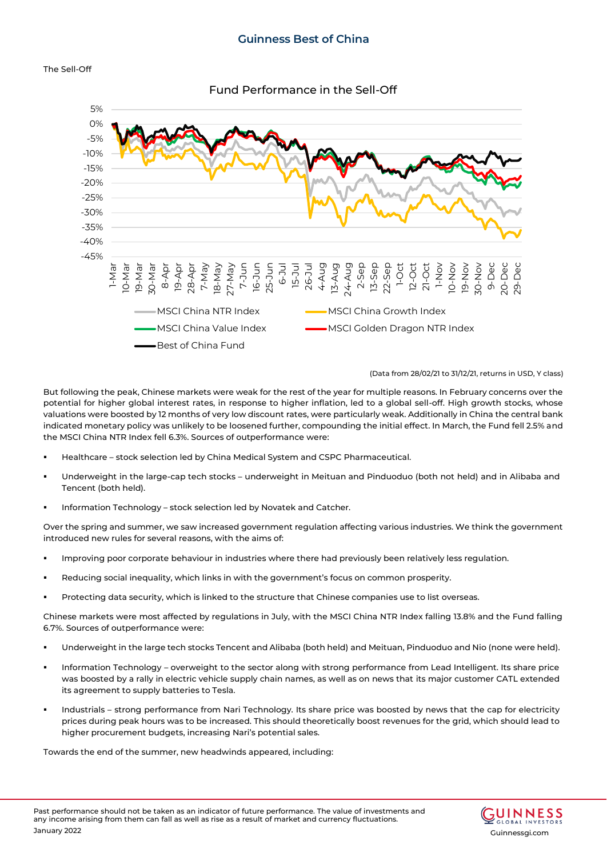

Fund Performance in the Sell-Off



(Data from 28/02/21 to 31/12/21, returns in USD, Y class)

But following the peak, Chinese markets were weak for the rest of the year for multiple reasons. In February concerns over the potential for higher global interest rates, in response to higher inflation, led to a global sell-off. High growth stocks, whose valuations were boosted by 12 months of very low discount rates, were particularly weak. Additionally in China the central bank indicated monetary policy was unlikely to be loosened further, compounding the initial effect. In March, the Fund fell 2.5% and the MSCI China NTR Index fell 6.3%. Sources of outperformance were:

- Healthcare stock selection led by China Medical System and CSPC Pharmaceutical.
- Underweight in the large-cap tech stocks underweight in Meituan and Pinduoduo (both not held) and in Alibaba and Tencent (both held).
- Information Technology stock selection led by Novatek and Catcher.

Over the spring and summer, we saw increased government regulation affecting various industries. We think the government introduced new rules for several reasons, with the aims of:

- Improving poor corporate behaviour in industries where there had previously been relatively less regulation.
- Reducing social inequality, which links in with the government's focus on common prosperity.
- Protecting data security, which is linked to the structure that Chinese companies use to list overseas.

Chinese markets were most affected by regulations in July, with the MSCI China NTR Index falling 13.8% and the Fund falling 6.7%. Sources of outperformance were:

- Underweight in the large tech stocks Tencent and Alibaba (both held) and Meituan, Pinduoduo and Nio (none were held).
- Information Technology overweight to the sector along with strong performance from Lead Intelligent. Its share price was boosted by a rally in electric vehicle supply chain names, as well as on news that its major customer CATL extended its agreement to supply batteries to Tesla.
- Industrials strong performance from Nari Technology. Its share price was boosted by news that the cap for electricity prices during peak hours was to be increased. This should theoretically boost revenues for the grid, which should lead to higher procurement budgets, increasing Nari's potential sales.

Towards the end of the summer, new headwinds appeared, including:

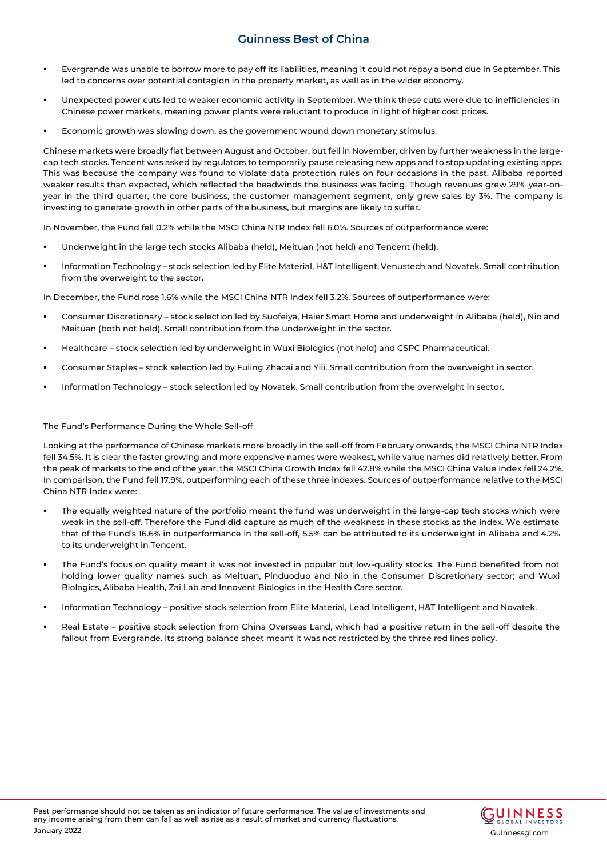- Evergrande was unable to borrow more to pay off its liabilities, meaning it could not repay a bond due in September. This led to concerns over potential contagion in the property market, as well as in the wider economy.
- Unexpected power cuts led to weaker economic activity in September. We think these cuts were due to inefficiencies in Chinese power markets, meaning power plants were reluctant to produce in light of higher cost prices.
- Economic growth was slowing down, as the government wound down monetary stimulus.

Chinese markets were broadly flat between August and October, but fell in November, driven by further weakness in the largecap tech stocks. Tencent was asked by regulators to temporarily pause releasing new apps and to stop updating existing apps. This was because the company was found to violate data protection rules on four occasions in the past. Alibaba reported weaker results than expected, which reflected the headwinds the business was facing. Though revenues grew 29% year-onyear in the third quarter, the core business, the customer management segment, only grew sales by 3%. The company is investing to generate growth in other parts of the business, but margins are likely to suffer.

In November, the Fund fell 0.2% while the MSCI China NTR Index fell 6.0%. Sources of outperformance were:

- Underweight in the large tech stocks Alibaba (held), Meituan (not held) and Tencent (held).
- Information Technology stock selection led by Elite Material, H&T Intelligent, Venustech and Novatek. Small contribution from the overweight to the sector.

In December, the Fund rose 1.6% while the MSCI China NTR Index fell 3.2%. Sources of outperformance were:

- Consumer Discretionary stock selection led by Suofeiya, Haier Smart Home and underweight in Alibaba (held), Nio and Meituan (both not held). Small contribution from the underweight in the sector.
- Healthcare stock selection led by underweight in Wuxi Biologics (not held) and CSPC Pharmaceutical.
- Consumer Staples stock selection led by Fuling Zhacai and Yili. Small contribution from the overweight in sector.
- Information Technology stock selection led by Novatek. Small contribution from the overweight in sector.

#### The Fund's Performance During the Whole Sell-off

Looking at the performance of Chinese markets more broadly in the sell-off from February onwards, the MSCI China NTR Index fell 34.5%. It is clear the faster growing and more expensive names were weakest, while value names did relatively better. From the peak of markets to the end of the year, the MSCI China Growth Index fell 42.8% while the MSCI China Value Index fell 24.2%. In comparison, the Fund fell 17.9%, outperforming each of these three indexes. Sources of outperformance relative to the MSCI China NTR Index were:

- The equally weighted nature of the portfolio meant the fund was underweight in the large-cap tech stocks which were weak in the sell-off. Therefore the Fund did capture as much of the weakness in these stocks as the index. We estimate that of the Fund's 16.6% in outperformance in the sell-off, 5.5% can be attributed to its underweight in Alibaba and 4.2% to its underweight in Tencent.
- The Fund's focus on quality meant it was not invested in popular but low-quality stocks. The Fund benefited from not holding lower quality names such as Meituan, Pinduoduo and Nio in the Consumer Discretionary sector; and Wuxi Biologics, Alibaba Health, Zai Lab and Innovent Biologics in the Health Care sector.
- Information Technology positive stock selection from Elite Material, Lead Intelligent, H&T Intelligent and Novatek.
- Real Estate positive stock selection from China Overseas Land, which had a positive return in the sell-off despite the fallout from Evergrande. Its strong balance sheet meant it was not restricted by the three red lines policy.

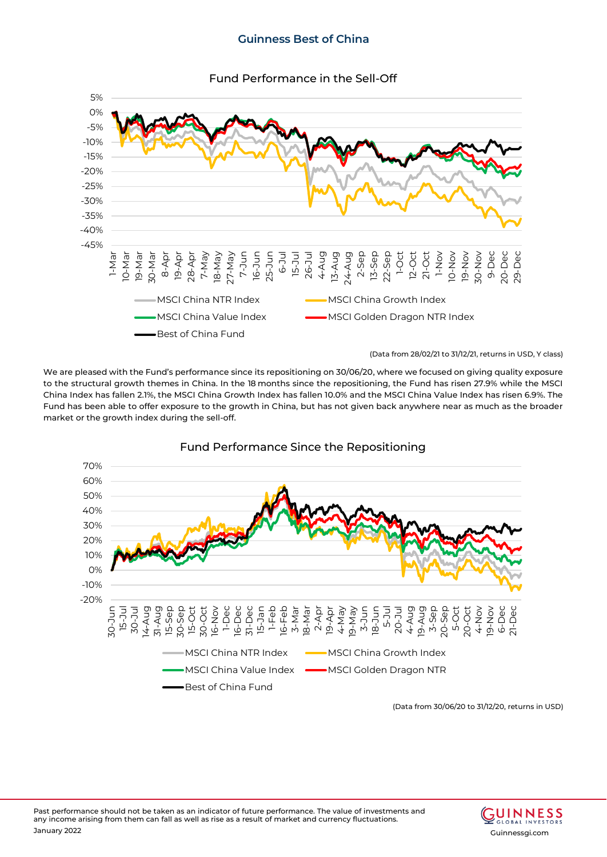

(Data from 28/02/21 to 31/12/21, returns in USD, Y class)

We are pleased with the Fund's performance since its repositioning on 30/06/20, where we focused on giving quality exposure to the structural growth themes in China. In the 18 months since the repositioning, the Fund has risen 27.9% while the MSCI China Index has fallen 2.1%, the MSCI China Growth Index has fallen 10.0% and the MSCI China Value Index has risen 6.9%. The Fund has been able to offer exposure to the growth in China, but has not given back anywhere near as much as the broader market or the growth index during the sell-off.



Fund Performance Since the Repositioning

(Data from 30/06/20 to 31/12/20, returns in USD)

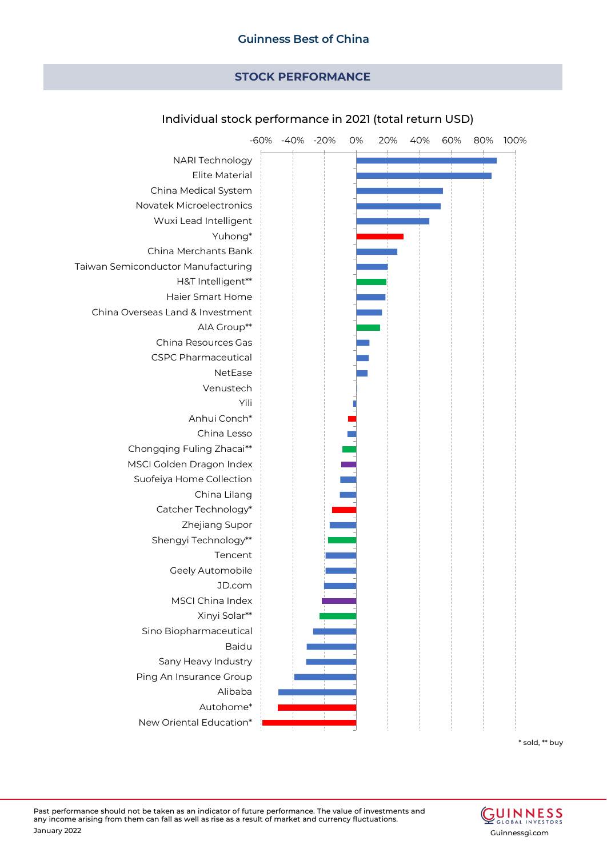# **STOCK PERFORMANCE**



## Individual stock performance in 2021 (total return USD)

\* sold, \*\* buy

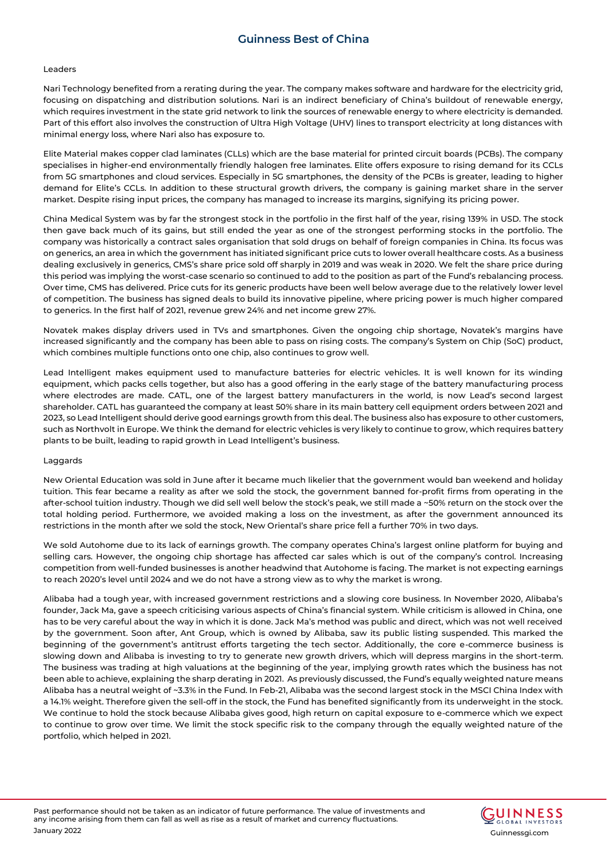#### Leaders

Nari Technology benefited from a rerating during the year. The company makes software and hardware for the electricity grid, focusing on dispatching and distribution solutions. Nari is an indirect beneficiary of China's buildout of renewable energy, which requires investment in the state grid network to link the sources of renewable energy to where electricity is demanded. Part of this effort also involves the construction of Ultra High Voltage (UHV) lines to transport electricity at long distances with minimal energy loss, where Nari also has exposure to.

Elite Material makes copper clad laminates (CLLs) which are the base material for printed circuit boards (PCBs). The company specialises in higher-end environmentally friendly halogen free laminates. Elite offers exposure to rising demand for its CCLs from 5G smartphones and cloud services. Especially in 5G smartphones, the density of the PCBs is greater, leading to higher demand for Elite's CCLs. In addition to these structural growth drivers, the company is gaining market share in the server market. Despite rising input prices, the company has managed to increase its margins, signifying its pricing power.

China Medical System was by far the strongest stock in the portfolio in the first half of the year, rising 139% in USD. The stock then gave back much of its gains, but still ended the year as one of the strongest performing stocks in the portfolio. The company was historically a contract sales organisation that sold drugs on behalf of foreign companies in China. Its focus was on generics, an area in which the government has initiated significant price cuts to lower overall healthcare costs. As a business dealing exclusively in generics, CMS's share price sold off sharply in 2019 and was weak in 2020. We felt the share price during this period was implying the worst-case scenario so continued to add to the position as part of the Fund's rebalancing process. Over time, CMS has delivered. Price cuts for its generic products have been well below average due to the relatively lower level of competition. The business has signed deals to build its innovative pipeline, where pricing power is much higher compared to generics. In the first half of 2021, revenue grew 24% and net income grew 27%.

Novatek makes display drivers used in TVs and smartphones. Given the ongoing chip shortage, Novatek's margins have increased significantly and the company has been able to pass on rising costs. The company's System on Chip (SoC) product, which combines multiple functions onto one chip, also continues to grow well.

Lead Intelligent makes equipment used to manufacture batteries for electric vehicles. It is well known for its winding equipment, which packs cells together, but also has a good offering in the early stage of the battery manufacturing process where electrodes are made. CATL, one of the largest battery manufacturers in the world, is now Lead's second largest shareholder. CATL has guaranteed the company at least 50% share in its main battery cell equipment orders between 2021 and 2023, so Lead Intelligent should derive good earnings growth from this deal. The business also has exposure to other customers, such as Northvolt in Europe. We think the demand for electric vehicles is very likely to continue to grow, which requires battery plants to be built, leading to rapid growth in Lead Intelligent's business.

### Laggards

New Oriental Education was sold in June after it became much likelier that the government would ban weekend and holiday tuition. This fear became a reality as after we sold the stock, the government banned for-profit firms from operating in the after-school tuition industry. Though we did sell well below the stock's peak, we still made a ~50% return on the stock over the total holding period. Furthermore, we avoided making a loss on the investment, as after the government announced its restrictions in the month after we sold the stock, New Oriental's share price fell a further 70% in two days.

We sold Autohome due to its lack of earnings growth. The company operates China's largest online platform for buying and selling cars. However, the ongoing chip shortage has affected car sales which is out of the company's control. Increasing competition from well-funded businesses is another headwind that Autohome is facing. The market is not expecting earnings to reach 2020's level until 2024 and we do not have a strong view as to why the market is wrong.

Alibaba had a tough year, with increased government restrictions and a slowing core business. In November 2020, Alibaba's founder, Jack Ma, gave a speech criticising various aspects of China's financial system. While criticism is allowed in China, one has to be very careful about the way in which it is done. Jack Ma's method was public and direct, which was not well received by the government. Soon after, Ant Group, which is owned by Alibaba, saw its public listing suspended. This marked the beginning of the government's antitrust efforts targeting the tech sector. Additionally, the core e-commerce business is slowing down and Alibaba is investing to try to generate new growth drivers, which will depress margins in the short-term. The business was trading at high valuations at the beginning of the year, implying growth rates which the business has not been able to achieve, explaining the sharp derating in 2021. As previously discussed, the Fund's equally weighted nature means Alibaba has a neutral weight of ~3.3% in the Fund. In Feb-21, Alibaba was the second largest stock in the MSCI China Index with a 14.1% weight. Therefore given the sell-off in the stock, the Fund has benefited significantly from its underweight in the stock. We continue to hold the stock because Alibaba gives good, high return on capital exposure to e-commerce which we expect to continue to grow over time. We limit the stock specific risk to the company through the equally weighted nature of the portfolio, which helped in 2021.

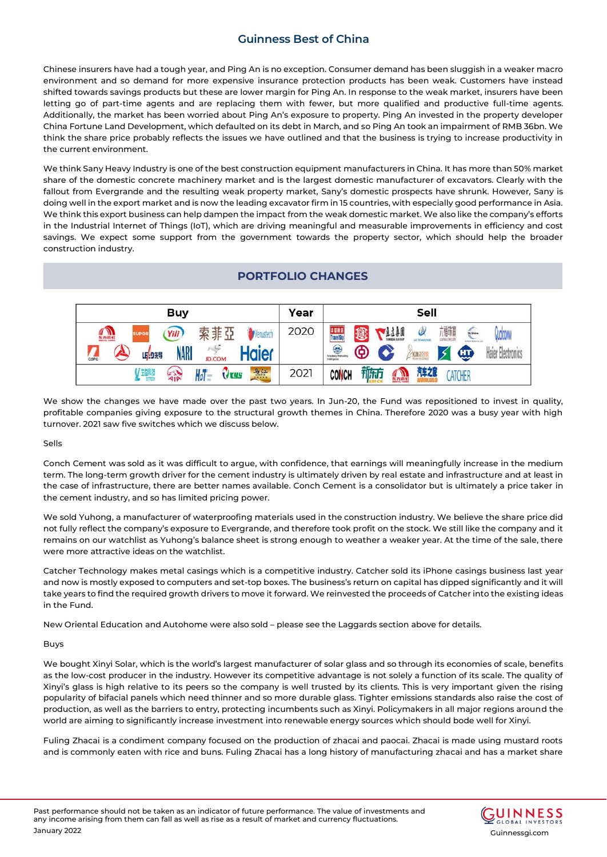Chinese insurers have had a tough year, and Ping An is no exception. Consumer demand has been sluggish in a weaker macro environment and so demand for more expensive insurance protection products has been weak. Customers have instead shifted towards savings products but these are lower margin for Ping An. In response to the weak market, insurers have been letting go of part-time agents and are replacing them with fewer, but more qualified and productive full-time agents. Additionally, the market has been worried about Ping An's exposure to property. Ping An invested in the property developer China Fortune Land Development, which defaulted on its debt in March, and so Ping An took an impairment of RMB 36bn. We think the share price probably reflects the issues we have outlined and that the business is trying to increase productivity in the current environment.

We think Sany Heavy Industry is one of the best construction equipment manufacturers in China. It has more than 50% market share of the domestic concrete machinery market and is the largest domestic manufacturer of excavators. Clearly with the fallout from Evergrande and the resulting weak property market, Sany's domestic prospects have shrunk. However, Sany is doing well in the export market and is now the leading excavator firm in 15 countries, with especially good performance in Asia. We think this export business can help dampen the impact from the weak domestic market. We also like the company's efforts in the Industrial Internet of Things (IoT), which are driving meaningful and measurable improvements in efficiency and cost savings. We expect some support from the government towards the property sector, which should help the broader construction industry.

# **PORTFOLIO CHANGES**



We show the changes we have made over the past two years. In Jun-20, the Fund was repositioned to invest in quality, profitable companies giving exposure to the structural growth themes in China. Therefore 2020 was a busy year with high turnover. 2021 saw five switches which we discuss below.

Sells

Conch Cement was sold as it was difficult to argue, with confidence, that earnings will meaningfully increase in the medium term. The long-term growth driver for the cement industry is ultimately driven by real estate and infrastructure and at least in the case of infrastructure, there are better names available. Conch Cement is a consolidator but is ultimately a price taker in the cement industry, and so has limited pricing power.

We sold Yuhong, a manufacturer of waterproofing materials used in the construction industry. We believe the share price did not fully reflect the company's exposure to Evergrande, and therefore took profit on the stock. We still like the company and it remains on our watchlist as Yuhong's balance sheet is strong enough to weather a weaker year. At the time of the sale, there were more attractive ideas on the watchlist.

Catcher Technology makes metal casings which is a competitive industry. Catcher sold its iPhone casings business last year and now is mostly exposed to computers and set-top boxes. The business's return on capital has dipped significantly and it will take years to find the required growth drivers to move it forward. We reinvested the proceeds of Catcher into the existing ideas in the Fund.

New Oriental Education and Autohome were also sold – please see the Laggards section above for details.

### Buys

We bought Xinyi Solar, which is the world's largest manufacturer of solar glass and so through its economies of scale, benefits as the low-cost producer in the industry. However its competitive advantage is not solely a function of its scale. The quality of Xinyi's glass is high relative to its peers so the company is well trusted by its clients. This is very important given the rising popularity of bifacial panels which need thinner and so more durable glass. Tighter emissions standards also raise the cost of production, as well as the barriers to entry, protecting incumbents such as Xinyi. Policymakers in all major regions around the world are aiming to significantly increase investment into renewable energy sources which should bode well for Xinyi.

Fuling Zhacai is a condiment company focused on the production of zhacai and paocai. Zhacai is made using mustard roots and is commonly eaten with rice and buns. Fuling Zhacai has a long history of manufacturing zhacai and has a market share

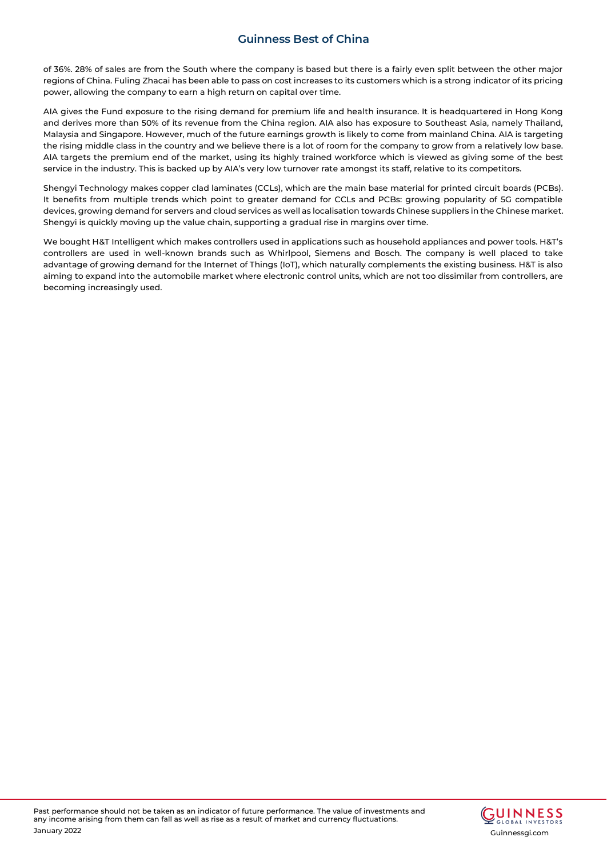of 36%. 28% of sales are from the South where the company is based but there is a fairly even split between the other major regions of China. Fuling Zhacai has been able to pass on cost increases to its customers which is a strong indicator of its pricing power, allowing the company to earn a high return on capital over time.

AIA gives the Fund exposure to the rising demand for premium life and health insurance. It is headquartered in Hong Kong and derives more than 50% of its revenue from the China region. AIA also has exposure to Southeast Asia, namely Thailand, Malaysia and Singapore. However, much of the future earnings growth is likely to come from mainland China. AIA is targeting the rising middle class in the country and we believe there is a lot of room for the company to grow from a relatively low base. AIA targets the premium end of the market, using its highly trained workforce which is viewed as giving some of the best service in the industry. This is backed up by AIA's very low turnover rate amongst its staff, relative to its competitors.

Shengyi Technology makes copper clad laminates (CCLs), which are the main base material for printed circuit boards (PCBs). It benefits from multiple trends which point to greater demand for CCLs and PCBs: growing popularity of 5G compatible devices, growing demand for servers and cloud services as well as localisation towards Chinese suppliers in the Chinese market. Shengyi is quickly moving up the value chain, supporting a gradual rise in margins over time.

We bought H&T Intelligent which makes controllers used in applications such as household appliances and power tools. H&T's controllers are used in well-known brands such as Whirlpool, Siemens and Bosch. The company is well placed to take advantage of growing demand for the Internet of Things (IoT), which naturally complements the existing business. H&T is also aiming to expand into the automobile market where electronic control units, which are not too dissimilar from controllers, are becoming increasingly used.

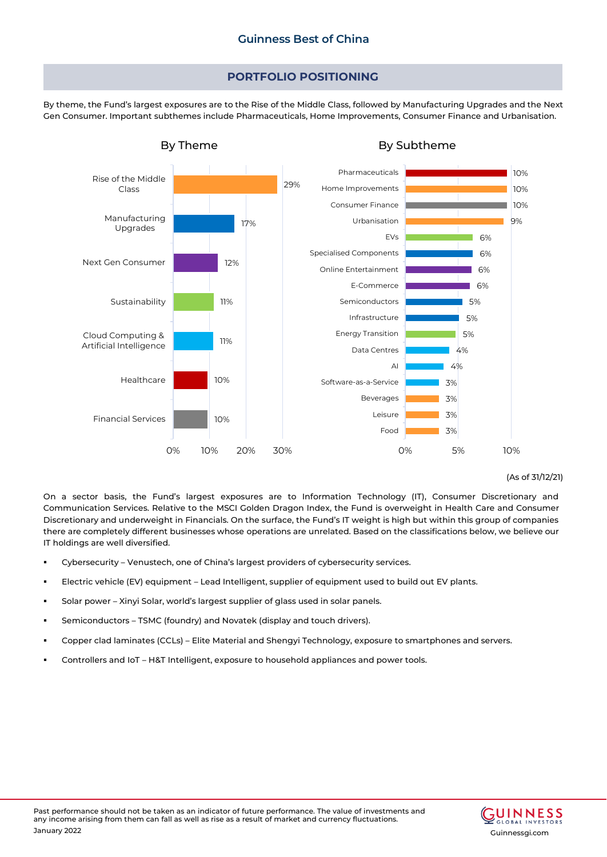### **PORTFOLIO POSITIONING**

By theme, the Fund's largest exposures are to the Rise of the Middle Class, followed by Manufacturing Upgrades and the Next Gen Consumer. Important subthemes include Pharmaceuticals, Home Improvements, Consumer Finance and Urbanisation.



### (As of 31/12/21)

On a sector basis, the Fund's largest exposures are to Information Technology (IT), Consumer Discretionary and Communication Services. Relative to the MSCI Golden Dragon Index, the Fund is overweight in Health Care and Consumer Discretionary and underweight in Financials. On the surface, the Fund's IT weight is high but within this group of companies there are completely different businesses whose operations are unrelated. Based on the classifications below, we believe our IT holdings are well diversified.

- Cybersecurity Venustech, one of China's largest providers of cybersecurity services.
- Electric vehicle (EV) equipment Lead Intelligent, supplier of equipment used to build out EV plants.
- Solar power Xinyi Solar, world's largest supplier of glass used in solar panels.
- Semiconductors TSMC (foundry) and Novatek (display and touch drivers).
- Copper clad laminates (CCLs) Elite Material and Shengyi Technology, exposure to smartphones and servers.
- Controllers and IoT H&T Intelligent, exposure to household appliances and power tools.

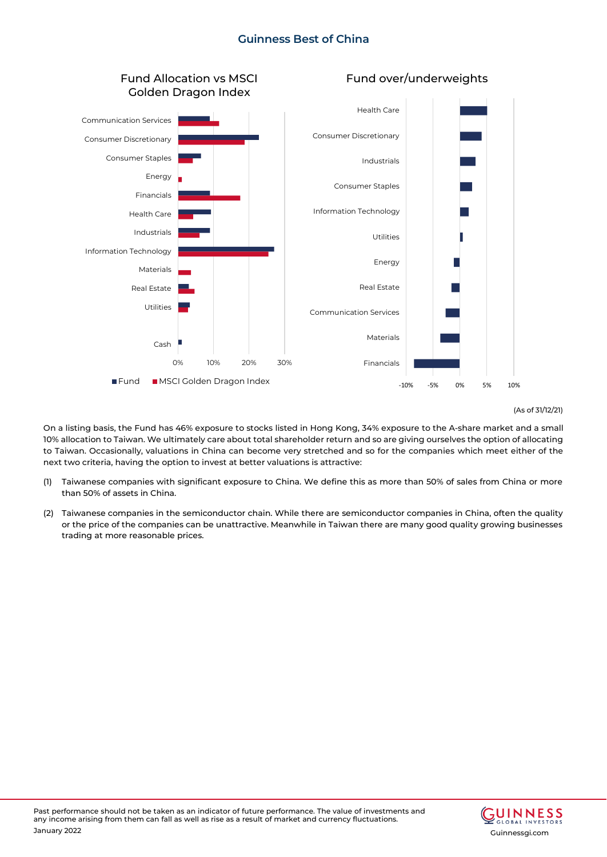

#### (As of 31/12/21)

On a listing basis, the Fund has 46% exposure to stocks listed in Hong Kong, 34% exposure to the A-share market and a small 10% allocation to Taiwan. We ultimately care about total shareholder return and so are giving ourselves the option of allocating to Taiwan. Occasionally, valuations in China can become very stretched and so for the companies which meet either of the next two criteria, having the option to invest at better valuations is attractive:

- (1) Taiwanese companies with significant exposure to China. We define this as more than 50% of sales from China or more than 50% of assets in China.
- (2) Taiwanese companies in the semiconductor chain. While there are semiconductor companies in China, often the quality or the price of the companies can be unattractive. Meanwhile in Taiwan there are many good quality growing businesses trading at more reasonable prices.

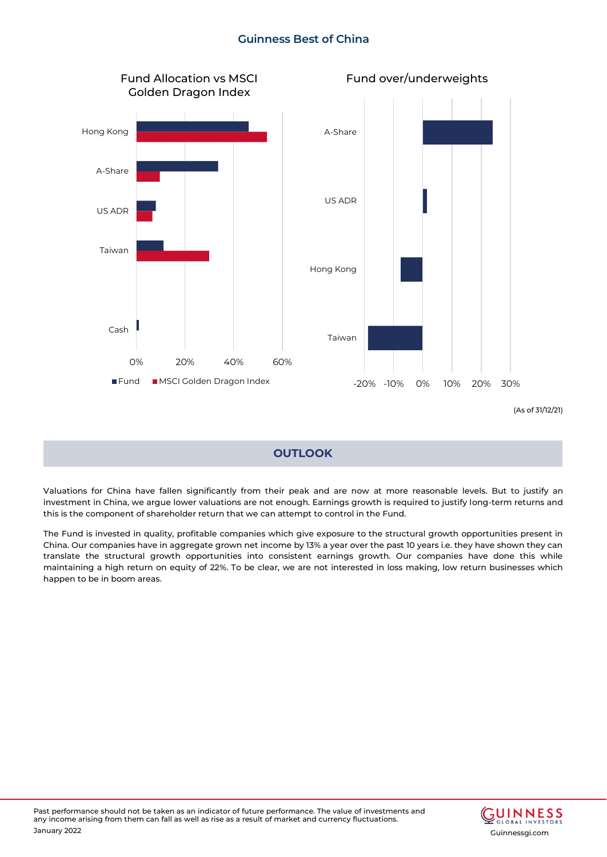

## **OUTLOOK**

Valuations for China have fallen significantly from their peak and are now at more reasonable levels. But to justify an investment in China, we argue lower valuations are not enough. Earnings growth is required to justify long-term returns and this is the component of shareholder return that we can attempt to control in the Fund.

The Fund is invested in quality, profitable companies which give exposure to the structural growth opportunities present in China. Our companies have in aggregate grown net income by 13% a year over the past 10 years i.e. they have shown they can translate the structural growth opportunities into consistent earnings growth. Our companies have done this while maintaining a high return on equity of 22%. To be clear, we are not interested in loss making, low return businesses which happen to be in boom areas.

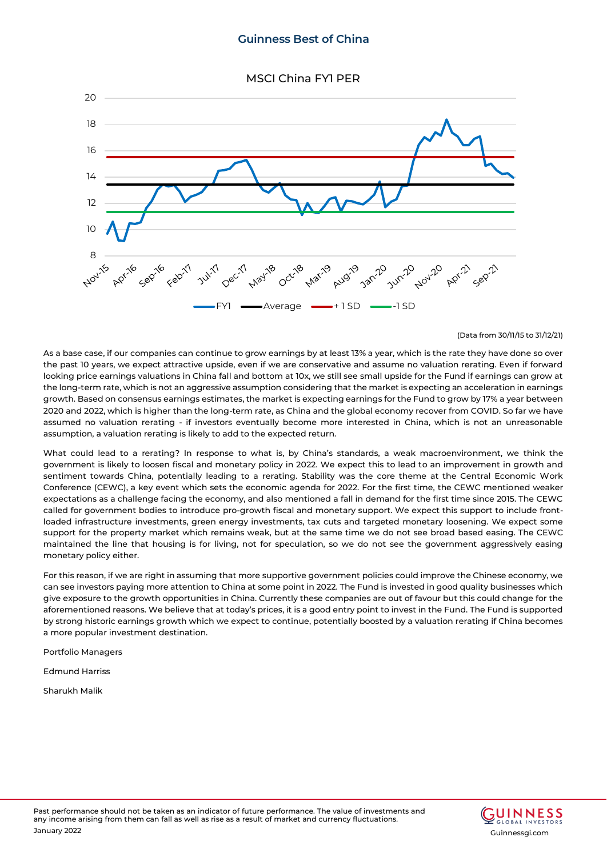MSCI China FY1 PER



(Data from 30/11/15 to 31/12/21)

As a base case, if our companies can continue to grow earnings by at least 13% a year, which is the rate they have done so over the past 10 years, we expect attractive upside, even if we are conservative and assume no valuation rerating. Even if forward looking price earnings valuations in China fall and bottom at 10x, we still see small upside for the Fund if earnings can grow at the long-term rate, which is not an aggressive assumption considering that the market is expecting an acceleration in earnings growth. Based on consensus earnings estimates, the market is expecting earnings for the Fund to grow by 17% a year between 2020 and 2022, which is higher than the long-term rate, as China and the global economy recover from COVID. So far we have assumed no valuation rerating - if investors eventually become more interested in China, which is not an unreasonable assumption, a valuation rerating is likely to add to the expected return.

What could lead to a rerating? In response to what is, by China's standards, a weak macroenvironment, we think the government is likely to loosen fiscal and monetary policy in 2022. We expect this to lead to an improvement in growth and sentiment towards China, potentially leading to a rerating. Stability was the core theme at the Central Economic Work Conference (CEWC), a key event which sets the economic agenda for 2022. For the first time, the CEWC mentioned weaker expectations as a challenge facing the economy, and also mentioned a fall in demand for the first time since 2015. The CEWC called for government bodies to introduce pro-growth fiscal and monetary support. We expect this support to include frontloaded infrastructure investments, green energy investments, tax cuts and targeted monetary loosening. We expect some support for the property market which remains weak, but at the same time we do not see broad based easing. The CEWC maintained the line that housing is for living, not for speculation, so we do not see the government aggressively easing monetary policy either.

For this reason, if we are right in assuming that more supportive government policies could improve the Chinese economy, we can see investors paying more attention to China at some point in 2022. The Fund is invested in good quality businesses which give exposure to the growth opportunities in China. Currently these companies are out of favour but this could change for the aforementioned reasons. We believe that at today's prices, it is a good entry point to invest in the Fund. The Fund is supported by strong historic earnings growth which we expect to continue, potentially boosted by a valuation rerating if China becomes a more popular investment destination.

Portfolio Managers

Edmund Harriss

Sharukh Malik

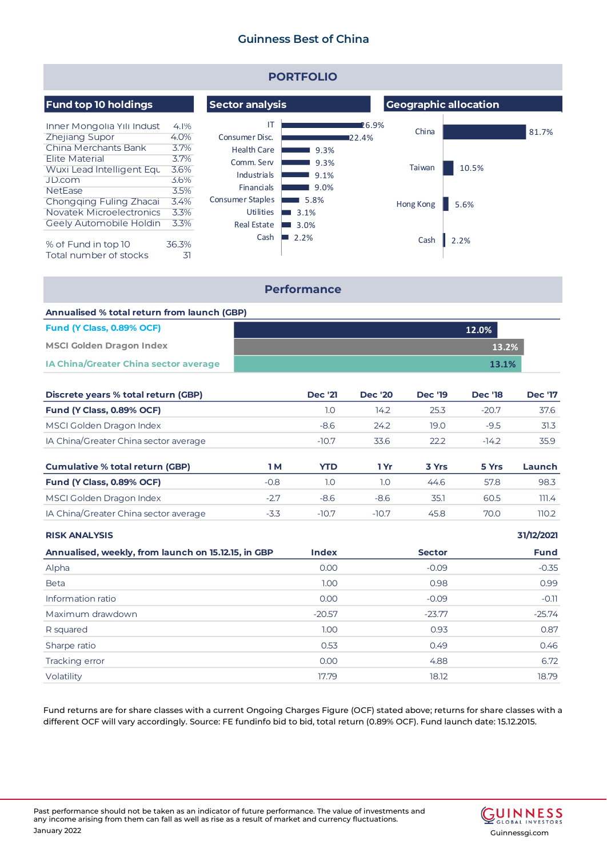| <b>PORTFOLIO</b>                                                                                                                                              |                                                      |                                                                                                                                |                                      |                              |                 |       |       |
|---------------------------------------------------------------------------------------------------------------------------------------------------------------|------------------------------------------------------|--------------------------------------------------------------------------------------------------------------------------------|--------------------------------------|------------------------------|-----------------|-------|-------|
| <b>Fund top 10 holdings</b>                                                                                                                                   |                                                      | <b>Sector analysis</b>                                                                                                         |                                      | <b>Geographic allocation</b> |                 |       |       |
| Inner Mongolia Yili Indust<br><b>Zhejiang Supor</b><br>China Merchants Bank<br><b>Elite Material</b><br>Wuxi Lead Intelligent Equ<br>JD.com<br><b>NetFase</b> | 4.1%<br>4.0%<br>3.7%<br>3.7%<br>3.6%<br>3.6%<br>3.5% | IT<br>Consumer Disc.<br><b>Health Care</b><br>Comm. Serv<br><b>Industrials</b><br><b>Financials</b><br><b>Consumer Staples</b> | 9.3%<br>9.3%<br>9.1%<br>9.0%<br>5.8% | 26.9%<br>122.4%              | China<br>Taiwan | 10.5% | 81.7% |
| Chongging Fuling Zhacai<br>Novatek Microelectronics<br>Geely Automobile Holdin                                                                                | 3.4%<br>3.3%<br>3.3%                                 | Utilities<br><b>Real Estate</b>                                                                                                | 3.1%<br>a sa B<br>3.0%               |                              | Hong Kong       | 5.6%  |       |
| % of Fund in top 10<br>Total number of stocks                                                                                                                 | 36.3%<br>31                                          | Cash                                                                                                                           | 2.2%                                 |                              | Cash            | 2.2%  |       |

### **Performance**

| Annualised % total return from launch (GBP) |       |  |  |  |
|---------------------------------------------|-------|--|--|--|
| Fund (Y Class, 0.89% OCF)                   | 12.0% |  |  |  |
| <b>MSCI Golden Dragon Index</b>             | 13.2% |  |  |  |
| IA China/Greater China sector average       | 13.1% |  |  |  |

| Discrete years % total return (GBP)    |        | <b>Dec '21</b> | <b>Dec</b> '20 | <b>Dec '19</b> | <b>Dec '18</b> | <b>Dec '17</b> |
|----------------------------------------|--------|----------------|----------------|----------------|----------------|----------------|
| Fund (Y Class, 0.89% OCF)              |        | 1.0            | 14.2           | 25.3           | $-20.7$        | 37.6           |
| MSCI Golden Dragon Index               |        | $-8.6$         | 24.2           | 19.0           | $-9.5$         | 31.3           |
| IA China/Greater China sector average  |        | $-10.7$        | 33.6           | 22.2           | $-14.2$        | 35.9           |
| <b>Cumulative % total return (GBP)</b> | 1 M    | <b>YTD</b>     | 1 Yr           | 3 Yrs          | 5 Yrs          | Launch         |
| Fund (Y Class, 0.89% OCF)              | $-0.8$ | 1.0            | 1.0            | 44.6           | 57.8           | 98.3           |
| MSCI Golden Dragon Index               | $-2.7$ | $-8.6$         | $-8.6$         | 35.1           | 60.5           | 111.4          |
| IA China/Greater China sector average  | $-3.3$ | $-10.7$        | $-10.7$        | 45.8           | 70.0           | 110.2          |

### **RISK ANALYSIS**

| Annualised, weekly, from launch on 15.12.15, in GBP | <b>Index</b> | <b>Sector</b> | <b>Fund</b> |
|-----------------------------------------------------|--------------|---------------|-------------|
| Alpha                                               | 0.00         | $-0.09$       | $-0.35$     |
| <b>Beta</b>                                         | 1.00         | 0.98          | 0.99        |
| Information ratio                                   | 0.00         | $-0.09$       | $-0.11$     |
| Maximum drawdown                                    | $-20.57$     | $-23.77$      | $-25.74$    |
| R squared                                           | 1.00         | 0.93          | 0.87        |
| Sharpe ratio                                        | 0.53         | 0.49          | 0.46        |
| Tracking error                                      | 0.00         | 4.88          | 6.72        |
| Volatility                                          | 17.79        | 18.12         | 18.79       |

Fund returns are for share classes with a current Ongoing Charges Figure (OCF) stated above; returns for share classes with a different OCF will vary accordingly. Source: FE fundinfo bid to bid, total return (0.89% OCF). Fund launch date: 15.12.2015.



**31/12/2021**